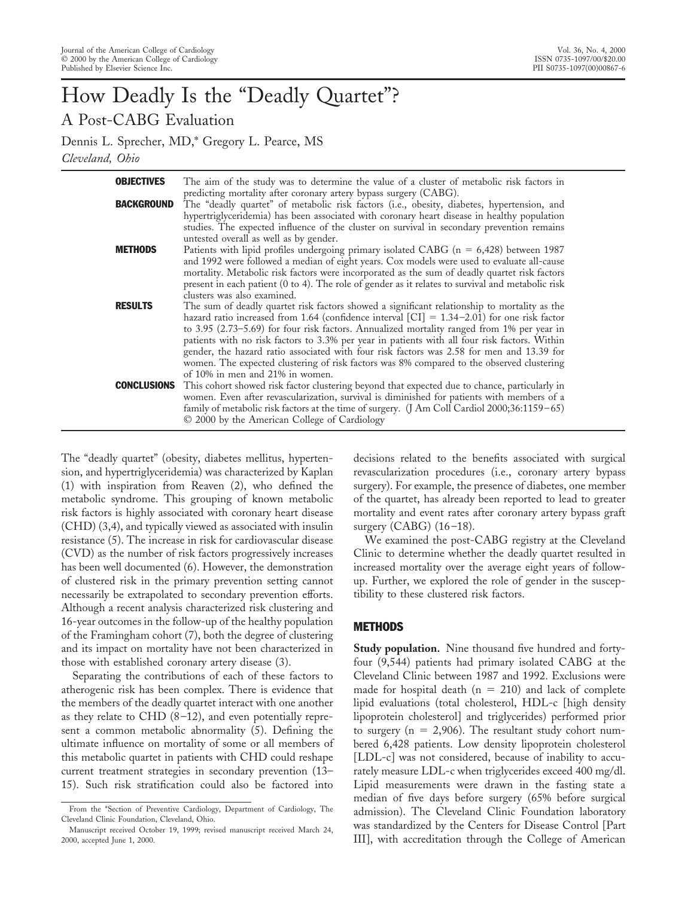# How Deadly Is the "Deadly Quartet"? A Post-CABG Evaluation

Dennis L. Sprecher, MD,\* Gregory L. Pearce, MS *Cleveland, Ohio*

| <b>OBJECTIVES</b>  | The aim of the study was to determine the value of a cluster of metabolic risk factors in                                                                                                                                                                                                                                                                                                                                                                                                                                                                                                                                           |
|--------------------|-------------------------------------------------------------------------------------------------------------------------------------------------------------------------------------------------------------------------------------------------------------------------------------------------------------------------------------------------------------------------------------------------------------------------------------------------------------------------------------------------------------------------------------------------------------------------------------------------------------------------------------|
| <b>BACKGROUND</b>  | predicting mortality after coronary artery bypass surgery (CABG).<br>The "deadly quartet" of metabolic risk factors (i.e., obesity, diabetes, hypertension, and<br>hypertriglyceridemia) has been associated with coronary heart disease in healthy population<br>studies. The expected influence of the cluster on survival in secondary prevention remains<br>untested overall as well as by gender.                                                                                                                                                                                                                              |
| <b>METHODS</b>     | Patients with lipid profiles undergoing primary isolated CABG ( $n = 6,428$ ) between 1987<br>and 1992 were followed a median of eight years. Cox models were used to evaluate all-cause<br>mortality. Metabolic risk factors were incorporated as the sum of deadly quartet risk factors<br>present in each patient (0 to 4). The role of gender as it relates to survival and metabolic risk<br>clusters was also examined.                                                                                                                                                                                                       |
| <b>RESULTS</b>     | The sum of deadly quartet risk factors showed a significant relationship to mortality as the<br>hazard ratio increased from 1.64 (confidence interval $\text{[CI]} = 1.34 - 2.01$ ) for one risk factor<br>to 3.95 (2.73-5.69) for four risk factors. Annualized mortality ranged from 1% per year in<br>patients with no risk factors to 3.3% per year in patients with all four risk factors. Within<br>gender, the hazard ratio associated with four risk factors was 2.58 for men and 13.39 for<br>women. The expected clustering of risk factors was 8% compared to the observed clustering<br>of 10% in men and 21% in women. |
| <b>CONCLUSIONS</b> | This cohort showed risk factor clustering beyond that expected due to chance, particularly in<br>women. Even after revascularization, survival is diminished for patients with members of a<br>family of metabolic risk factors at the time of surgery. (J Am Coll Cardiol 2000;36:1159-65)<br>© 2000 by the American College of Cardiology                                                                                                                                                                                                                                                                                         |

The "deadly quartet" (obesity, diabetes mellitus, hypertension, and hypertriglyceridemia) was characterized by Kaplan (1) with inspiration from Reaven (2), who defined the metabolic syndrome. This grouping of known metabolic risk factors is highly associated with coronary heart disease (CHD) (3,4), and typically viewed as associated with insulin resistance (5). The increase in risk for cardiovascular disease (CVD) as the number of risk factors progressively increases has been well documented (6). However, the demonstration of clustered risk in the primary prevention setting cannot necessarily be extrapolated to secondary prevention efforts. Although a recent analysis characterized risk clustering and 16-year outcomes in the follow-up of the healthy population of the Framingham cohort (7), both the degree of clustering and its impact on mortality have not been characterized in those with established coronary artery disease (3).

Separating the contributions of each of these factors to atherogenic risk has been complex. There is evidence that the members of the deadly quartet interact with one another as they relate to CHD (8–12), and even potentially represent a common metabolic abnormality (5). Defining the ultimate influence on mortality of some or all members of this metabolic quartet in patients with CHD could reshape current treatment strategies in secondary prevention (13– 15). Such risk stratification could also be factored into

decisions related to the benefits associated with surgical revascularization procedures (i.e., coronary artery bypass surgery). For example, the presence of diabetes, one member of the quartet, has already been reported to lead to greater mortality and event rates after coronary artery bypass graft surgery (CABG) (16–18).

We examined the post-CABG registry at the Cleveland Clinic to determine whether the deadly quartet resulted in increased mortality over the average eight years of followup. Further, we explored the role of gender in the susceptibility to these clustered risk factors.

#### **METHODS**

**Study population.** Nine thousand five hundred and fortyfour (9,544) patients had primary isolated CABG at the Cleveland Clinic between 1987 and 1992. Exclusions were made for hospital death ( $n = 210$ ) and lack of complete lipid evaluations (total cholesterol, HDL-c [high density lipoprotein cholesterol] and triglycerides) performed prior to surgery ( $n = 2,906$ ). The resultant study cohort numbered 6,428 patients. Low density lipoprotein cholesterol [LDL-c] was not considered, because of inability to accurately measure LDL-c when triglycerides exceed 400 mg/dl. Lipid measurements were drawn in the fasting state a median of five days before surgery (65% before surgical admission). The Cleveland Clinic Foundation laboratory was standardized by the Centers for Disease Control [Part III], with accreditation through the College of American

From the \*Section of Preventive Cardiology, Department of Cardiology, The Cleveland Clinic Foundation, Cleveland, Ohio.

Manuscript received October 19, 1999; revised manuscript received March 24, 2000, accepted June 1, 2000.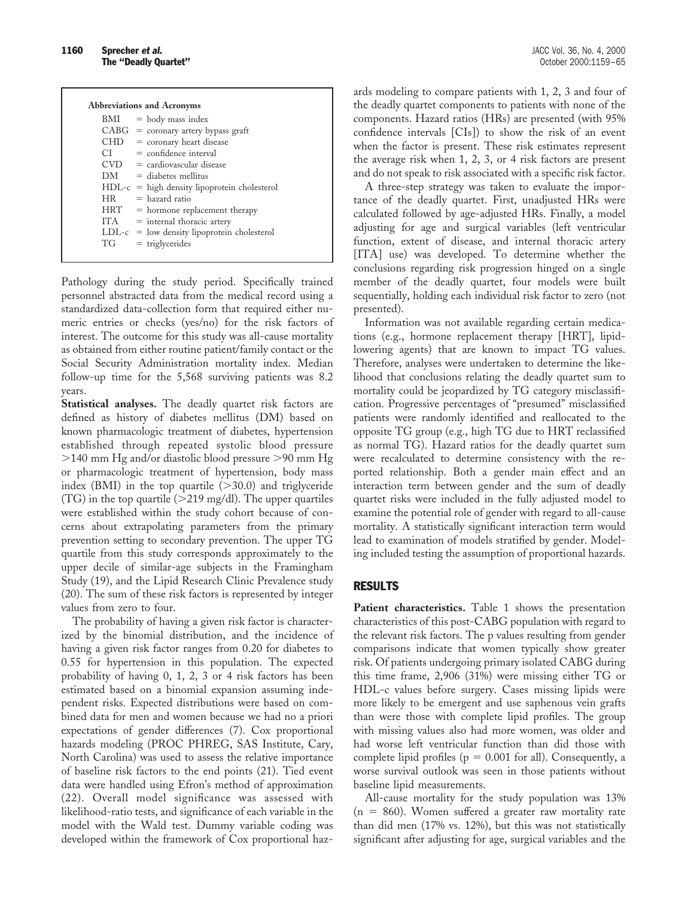| <b>Abbreviations and Acronyms</b> |                                                |  |  |  |  |  |
|-----------------------------------|------------------------------------------------|--|--|--|--|--|
| BMI                               | $=$ body mass index                            |  |  |  |  |  |
|                                   | $CABG = \text{coronary artery bypass}$         |  |  |  |  |  |
|                                   | $CHD = \text{coronary heart disease}$          |  |  |  |  |  |
|                                   | $CI = confidence interval$                     |  |  |  |  |  |
|                                   | $CVD = \text{cardiovascular disease}$          |  |  |  |  |  |
|                                   | $DM =$ diabetes mellitus                       |  |  |  |  |  |
|                                   | $HDL-c = high density lipoprotein cholesterol$ |  |  |  |  |  |
| HR                                | $=$ hazard ratio                               |  |  |  |  |  |
|                                   | $HRT =$ hormone replacement therapy            |  |  |  |  |  |
|                                   | $ITA = internal thoracic artery$               |  |  |  |  |  |
|                                   | $LDL-c = low density lipoprotein cholesterol$  |  |  |  |  |  |
| TG                                | $=$ triglycerides                              |  |  |  |  |  |

Pathology during the study period. Specifically trained personnel abstracted data from the medical record using a standardized data-collection form that required either numeric entries or checks (yes/no) for the risk factors of interest. The outcome for this study was all-cause mortality as obtained from either routine patient/family contact or the Social Security Administration mortality index. Median follow-up time for the 5,568 surviving patients was 8.2 years.

**Statistical analyses.** The deadly quartet risk factors are defined as history of diabetes mellitus (DM) based on known pharmacologic treatment of diabetes, hypertension established through repeated systolic blood pressure  $>$ 140 mm Hg and/or diastolic blood pressure  $>$ 90 mm Hg or pharmacologic treatment of hypertension, body mass index (BMI) in the top quartile  $(>30.0)$  and triglyceride (TG) in the top quartile ( $>$ 219 mg/dl). The upper quartiles were established within the study cohort because of concerns about extrapolating parameters from the primary prevention setting to secondary prevention. The upper TG quartile from this study corresponds approximately to the upper decile of similar-age subjects in the Framingham Study (19), and the Lipid Research Clinic Prevalence study (20). The sum of these risk factors is represented by integer values from zero to four.

The probability of having a given risk factor is characterized by the binomial distribution, and the incidence of having a given risk factor ranges from 0.20 for diabetes to 0.55 for hypertension in this population. The expected probability of having 0, 1, 2, 3 or 4 risk factors has been estimated based on a binomial expansion assuming independent risks. Expected distributions were based on combined data for men and women because we had no a priori expectations of gender differences (7). Cox proportional hazards modeling (PROC PHREG, SAS Institute, Cary, North Carolina) was used to assess the relative importance of baseline risk factors to the end points (21). Tied event data were handled using Efron's method of approximation (22). Overall model significance was assessed with likelihood-ratio tests, and significance of each variable in the model with the Wald test. Dummy variable coding was developed within the framework of Cox proportional haz-

ards modeling to compare patients with 1, 2, 3 and four of the deadly quartet components to patients with none of the components. Hazard ratios (HRs) are presented (with 95% confidence intervals [CIs]) to show the risk of an event when the factor is present. These risk estimates represent the average risk when 1, 2, 3, or 4 risk factors are present and do not speak to risk associated with a specific risk factor.

A three-step strategy was taken to evaluate the importance of the deadly quartet. First, unadjusted HRs were calculated followed by age-adjusted HRs. Finally, a model adjusting for age and surgical variables (left ventricular function, extent of disease, and internal thoracic artery [ITA] use) was developed. To determine whether the conclusions regarding risk progression hinged on a single member of the deadly quartet, four models were built sequentially, holding each individual risk factor to zero (not presented).

Information was not available regarding certain medications (e.g., hormone replacement therapy [HRT], lipidlowering agents) that are known to impact TG values. Therefore, analyses were undertaken to determine the likelihood that conclusions relating the deadly quartet sum to mortality could be jeopardized by TG category misclassification. Progressive percentages of "presumed" misclassified patients were randomly identified and reallocated to the opposite TG group (e.g., high TG due to HRT reclassified as normal TG). Hazard ratios for the deadly quartet sum were recalculated to determine consistency with the reported relationship. Both a gender main effect and an interaction term between gender and the sum of deadly quartet risks were included in the fully adjusted model to examine the potential role of gender with regard to all-cause mortality. A statistically significant interaction term would lead to examination of models stratified by gender. Modeling included testing the assumption of proportional hazards.

### RESULTS

Patient characteristics. Table 1 shows the presentation characteristics of this post-CABG population with regard to the relevant risk factors. The p values resulting from gender comparisons indicate that women typically show greater risk. Of patients undergoing primary isolated CABG during this time frame, 2,906 (31%) were missing either TG or HDL-c values before surgery. Cases missing lipids were more likely to be emergent and use saphenous vein grafts than were those with complete lipid profiles. The group with missing values also had more women, was older and had worse left ventricular function than did those with complete lipid profiles ( $p = 0.001$  for all). Consequently, a worse survival outlook was seen in those patients without baseline lipid measurements.

All-cause mortality for the study population was 13%  $(n = 860)$ . Women suffered a greater raw mortality rate than did men (17% vs. 12%), but this was not statistically significant after adjusting for age, surgical variables and the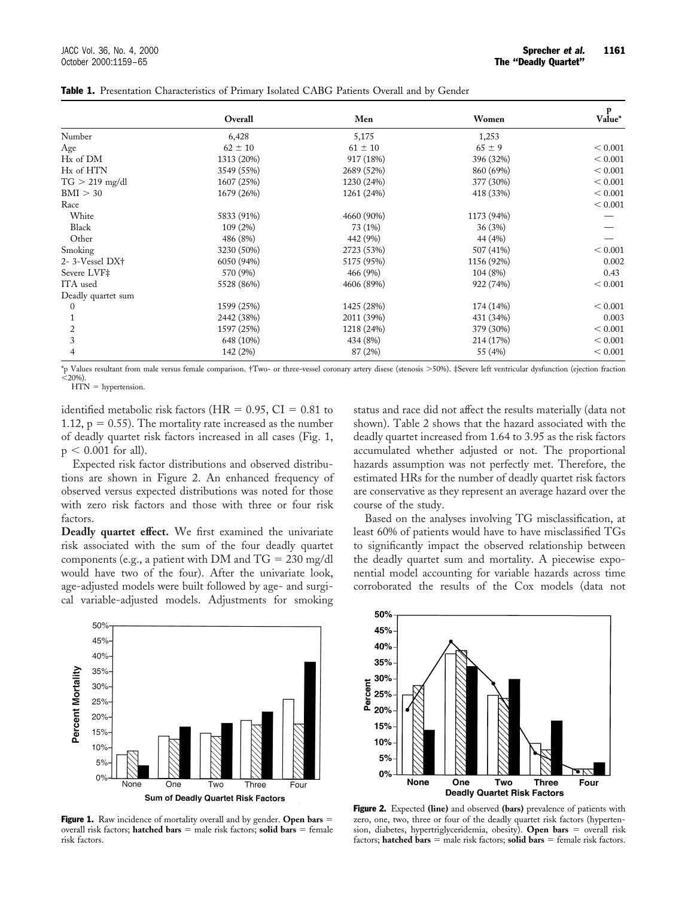|                    | Overall     | Men         | Women      | $v_{\rm alue}^{\rm p}$ |
|--------------------|-------------|-------------|------------|------------------------|
| Number             | 6,428       | 5,175       | 1,253      |                        |
| Age                | $62 \pm 10$ | $61 \pm 10$ | $65 \pm 9$ | < 0.001                |
| Hx of DM           | 1313 (20%)  | 917 (18%)   | 396 (32%)  | < 0.001                |
| Hx of HTN          | 3549 (55%)  | 2689 (52%)  | 860 (69%)  | < 0.001                |
| $TG > 219$ mg/dl   | 1607 (25%)  | 1230 (24%)  | 377 (30%)  | < 0.001                |
| BMI > 30           | 1679 (26%)  | 1261 (24%)  | 418 (33%)  | < 0.001                |
| Race               |             |             |            | < 0.001                |
| White              | 5833 (91%)  | 4660 (90%)  | 1173 (94%) |                        |
| Black              | 109 (2%)    | 73 (1%)     | 36 (3%)    |                        |
| Other              | 486 (8%)    | 442 (9%)    | 44 (4%)    |                        |
| Smoking            | 3230 (50%)  | 2723 (53%)  | 507 (41%)  | < 0.001                |
| 2-3-Vessel DX+     | 6050 (94%)  | 5175 (95%)  | 1156 (92%) | 0.002                  |
| Severe LVF‡        | 570 (9%)    | 466 (9%)    | 104 (8%)   | 0.43                   |
| ITA used           | 5528 (86%)  | 4606 (89%)  | 922 (74%)  | < 0.001                |
| Deadly quartet sum |             |             |            |                        |
| $\Omega$           | 1599 (25%)  | 1425 (28%)  | 174 (14%)  | < 0.001                |
|                    | 2442 (38%)  | 2011 (39%)  | 431 (34%)  | 0.003                  |
| 2                  | 1597 (25%)  | 1218 (24%)  | 379 (30%)  | < 0.001                |
| 3                  | 648 (10%)   | 434 (8%)    | 214 (17%)  | < 0.001                |
|                    | 142 (2%)    | 87 (2%)     | 55 (4%)    | < 0.001                |

Table 1. Presentation Characteristics of Primary Isolated CABG Patients Overall and by Gender

\*p Values resultant from male versus female comparison. †Two- or three-vessel coronary artery disese (stenosis .50%). ‡Severe left ventricular dysfunction (ejection fraction  $\dot{0}$ ,20%).

 $HTN = hypertension.$ 

identified metabolic risk factors (HR =  $0.95$ , CI =  $0.81$  to 1.12,  $p = 0.55$ ). The mortality rate increased as the number of deadly quartet risk factors increased in all cases (Fig. 1,  $p < 0.001$  for all).

Expected risk factor distributions and observed distributions are shown in Figure 2. An enhanced frequency of observed versus expected distributions was noted for those with zero risk factors and those with three or four risk factors.

**Deadly quartet effect.** We first examined the univariate risk associated with the sum of the four deadly quartet components (e.g., a patient with DM and  $TG = 230$  mg/dl would have two of the four). After the univariate look, age-adjusted models were built followed by age- and surgical variable-adjusted models. Adjustments for smoking

status and race did not affect the results materially (data not shown). Table 2 shows that the hazard associated with the deadly quartet increased from 1.64 to 3.95 as the risk factors accumulated whether adjusted or not. The proportional hazards assumption was not perfectly met. Therefore, the estimated HRs for the number of deadly quartet risk factors are conservative as they represent an average hazard over the course of the study.

Based on the analyses involving TG misclassification, at least 60% of patients would have to have misclassified TGs to significantly impact the observed relationship between the deadly quartet sum and mortality. A piecewise exponential model accounting for variable hazards across time corroborated the results of the Cox models (data not



**Figure 1.** Raw incidence of mortality overall and by gender. Open bars = overall risk factors; **hatched bars**  $=$  male risk factors; **solid bars**  $=$  female risk factors.



Figure 2. Expected **(line)** and observed **(bars)** prevalence of patients with zero, one, two, three or four of the deadly quartet risk factors (hypertension, diabetes, hypertriglyceridemia, obesity). Open bars = overall risk factors; **hatched bars**  $=$  male risk factors; **solid bars**  $=$  female risk factors.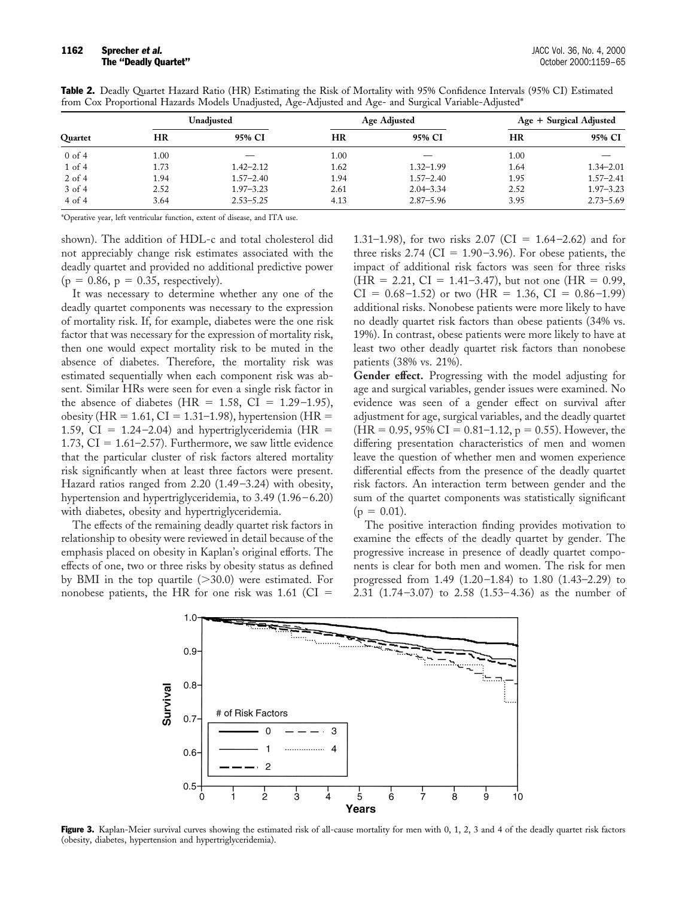| Quartet    | Unadjusted |               | <b>Age Adjusted</b> |               | Age + Surgical Adjusted |               |
|------------|------------|---------------|---------------------|---------------|-------------------------|---------------|
|            | HR         | 95% CI        | HR                  | 95% CI        | <b>HR</b>               | 95% CI        |
| $0$ of 4   | $1.00\,$   |               | 1.00                |               | 1.00                    |               |
| $1$ of $4$ | 1.73       | $1.42 - 2.12$ | 1.62                | $1.32 - 1.99$ | 1.64                    | $1.34 - 2.01$ |
| $2$ of 4   | 1.94       | $1.57 - 2.40$ | 1.94                | $1.57 - 2.40$ | 1.95                    | $1.57 - 2.41$ |
| $3$ of 4   | 2.52       | $1.97 - 3.23$ | 2.61                | $2.04 - 3.34$ | 2.52                    | $1.97 - 3.23$ |
| $4$ of $4$ | 3.64       | $2.53 - 5.25$ | 4.13                | $2.87 - 5.96$ | 3.95                    | $2.73 - 5.69$ |

Table 2. Deadly Quartet Hazard Ratio (HR) Estimating the Risk of Mortality with 95% Confidence Intervals (95% CI) Estimated from Cox Proportional Hazards Models Unadjusted, Age-Adjusted and Age- and Surgical Variable-Adjusted\*

\*Operative year, left ventricular function, extent of disease, and ITA use.

shown). The addition of HDL-c and total cholesterol did not appreciably change risk estimates associated with the deadly quartet and provided no additional predictive power  $(p = 0.86, p = 0.35, respectively).$ 

It was necessary to determine whether any one of the deadly quartet components was necessary to the expression of mortality risk. If, for example, diabetes were the one risk factor that was necessary for the expression of mortality risk, then one would expect mortality risk to be muted in the absence of diabetes. Therefore, the mortality risk was estimated sequentially when each component risk was absent. Similar HRs were seen for even a single risk factor in the absence of diabetes (HR =  $1.58$ , CI =  $1.29-1.95$ ), obesity (HR = 1.61, CI = 1.31–1.98), hypertension (HR = 1.59, CI =  $1.24-2.04$ ) and hypertriglyceridemia (HR = 1.73,  $CI = 1.61-2.57$ . Furthermore, we saw little evidence that the particular cluster of risk factors altered mortality risk significantly when at least three factors were present. Hazard ratios ranged from 2.20 (1.49–3.24) with obesity, hypertension and hypertriglyceridemia, to 3.49 (1.96–6.20) with diabetes, obesity and hypertriglyceridemia.

The effects of the remaining deadly quartet risk factors in relationship to obesity were reviewed in detail because of the emphasis placed on obesity in Kaplan's original efforts. The effects of one, two or three risks by obesity status as defined by BMI in the top quartile  $(>=30.0)$  were estimated. For nonobese patients, the HR for one risk was  $1.61$  (CI =

1.31–1.98), for two risks 2.07 (CI =  $1.64$ –2.62) and for three risks 2.74 ( $CI = 1.90-3.96$ ). For obese patients, the impact of additional risk factors was seen for three risks  $(HR = 2.21, CI = 1.41-3.47)$ , but not one  $(HR = 0.99,$  $CI = 0.68 - 1.52$  or two (HR = 1.36,  $CI = 0.86 - 1.99$ ) additional risks. Nonobese patients were more likely to have no deadly quartet risk factors than obese patients (34% vs. 19%). In contrast, obese patients were more likely to have at least two other deadly quartet risk factors than nonobese patients (38% vs. 21%).

**Gender effect.** Progressing with the model adjusting for age and surgical variables, gender issues were examined. No evidence was seen of a gender effect on survival after adjustment for age, surgical variables, and the deadly quartet  $(HR = 0.95, 95\% \text{ CI} = 0.81 - 1.12, p = 0.55)$ . However, the differing presentation characteristics of men and women leave the question of whether men and women experience differential effects from the presence of the deadly quartet risk factors. An interaction term between gender and the sum of the quartet components was statistically significant  $(p = 0.01)$ .

The positive interaction finding provides motivation to examine the effects of the deadly quartet by gender. The progressive increase in presence of deadly quartet components is clear for both men and women. The risk for men progressed from 1.49 (1.20–1.84) to 1.80 (1.43–2.29) to 2.31 (1.74–3.07) to 2.58 (1.53–4.36) as the number of



Figure 3. Kaplan-Meier survival curves showing the estimated risk of all-cause mortality for men with 0, 1, 2, 3 and 4 of the deadly quartet risk factors (obesity, diabetes, hypertension and hypertriglyceridemia).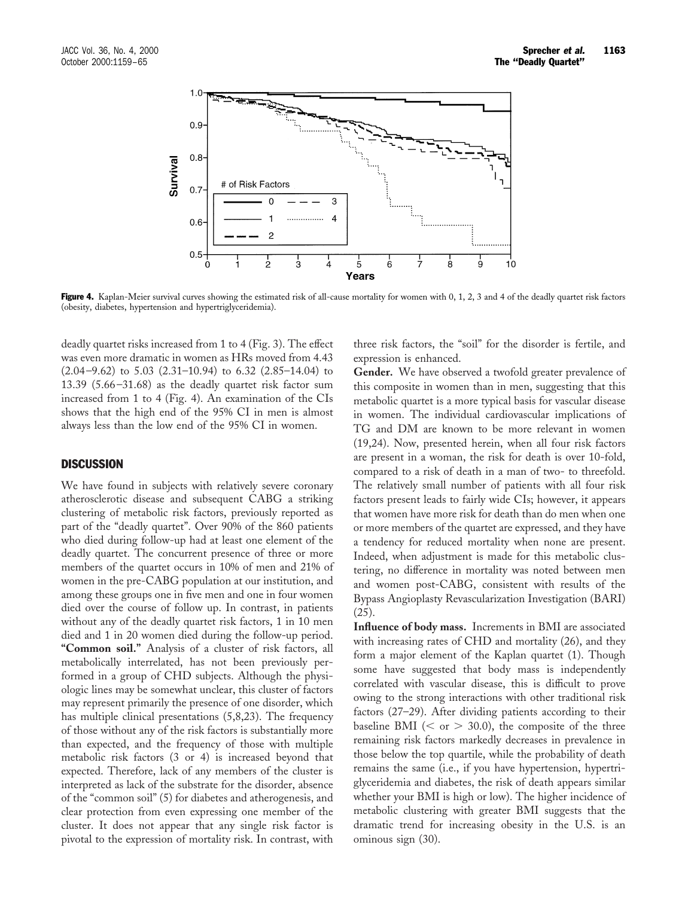

Figure 4. Kaplan-Meier survival curves showing the estimated risk of all-cause mortality for women with 0, 1, 2, 3 and 4 of the deadly quartet risk factors (obesity, diabetes, hypertension and hypertriglyceridemia).

deadly quartet risks increased from 1 to 4 (Fig. 3). The effect was even more dramatic in women as HRs moved from 4.43  $(2.04-9.62)$  to  $5.03$   $(2.31-10.94)$  to  $6.32$   $(2.85-14.04)$  to 13.39 (5.66–31.68) as the deadly quartet risk factor sum increased from 1 to 4 (Fig. 4). An examination of the CIs shows that the high end of the 95% CI in men is almost always less than the low end of the 95% CI in women.

#### **DISCUSSION**

We have found in subjects with relatively severe coronary atherosclerotic disease and subsequent CABG a striking clustering of metabolic risk factors, previously reported as part of the "deadly quartet". Over 90% of the 860 patients who died during follow-up had at least one element of the deadly quartet. The concurrent presence of three or more members of the quartet occurs in 10% of men and 21% of women in the pre-CABG population at our institution, and among these groups one in five men and one in four women died over the course of follow up. In contrast, in patients without any of the deadly quartet risk factors, 1 in 10 men died and 1 in 20 women died during the follow-up period. **"Common soil."** Analysis of a cluster of risk factors, all metabolically interrelated, has not been previously performed in a group of CHD subjects. Although the physiologic lines may be somewhat unclear, this cluster of factors may represent primarily the presence of one disorder, which has multiple clinical presentations (5,8,23). The frequency of those without any of the risk factors is substantially more than expected, and the frequency of those with multiple metabolic risk factors (3 or 4) is increased beyond that expected. Therefore, lack of any members of the cluster is interpreted as lack of the substrate for the disorder, absence of the "common soil" (5) for diabetes and atherogenesis, and clear protection from even expressing one member of the cluster. It does not appear that any single risk factor is pivotal to the expression of mortality risk. In contrast, with

three risk factors, the "soil" for the disorder is fertile, and expression is enhanced.

**Gender.** We have observed a twofold greater prevalence of this composite in women than in men, suggesting that this metabolic quartet is a more typical basis for vascular disease in women. The individual cardiovascular implications of TG and DM are known to be more relevant in women (19,24). Now, presented herein, when all four risk factors are present in a woman, the risk for death is over 10-fold, compared to a risk of death in a man of two- to threefold. The relatively small number of patients with all four risk factors present leads to fairly wide CIs; however, it appears that women have more risk for death than do men when one or more members of the quartet are expressed, and they have a tendency for reduced mortality when none are present. Indeed, when adjustment is made for this metabolic clustering, no difference in mortality was noted between men and women post-CABG, consistent with results of the Bypass Angioplasty Revascularization Investigation (BARI) (25).

**Influence of body mass.** Increments in BMI are associated with increasing rates of CHD and mortality  $(26)$ , and they form a major element of the Kaplan quartet (1). Though some have suggested that body mass is independently correlated with vascular disease, this is difficult to prove owing to the strong interactions with other traditional risk factors (27–29). After dividing patients according to their baseline BMI ( $\le$  or  $>$  30.0), the composite of the three remaining risk factors markedly decreases in prevalence in those below the top quartile, while the probability of death remains the same (i.e., if you have hypertension, hypertriglyceridemia and diabetes, the risk of death appears similar whether your BMI is high or low). The higher incidence of metabolic clustering with greater BMI suggests that the dramatic trend for increasing obesity in the U.S. is an ominous sign (30).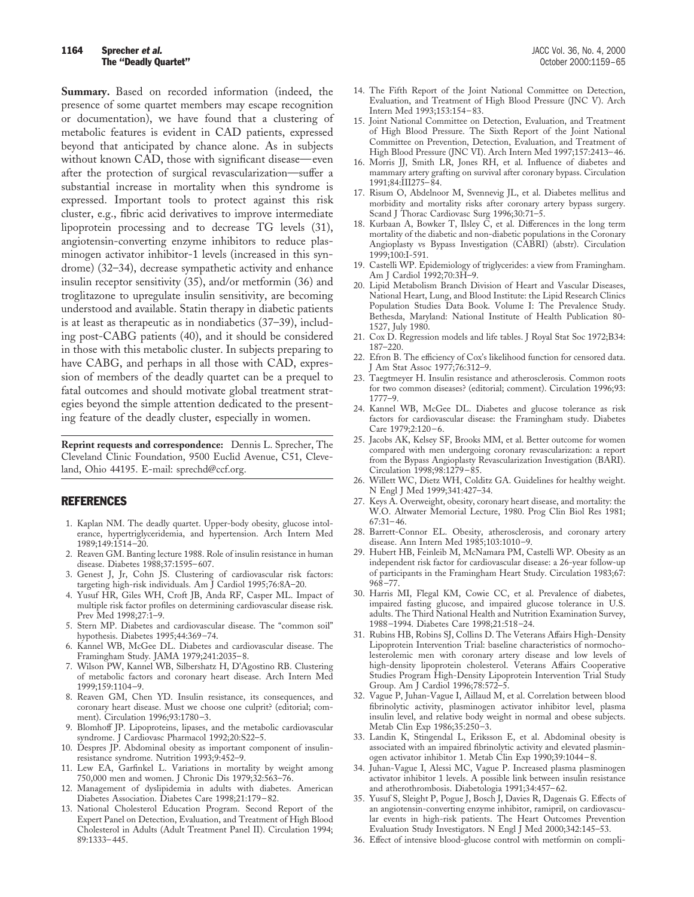## **1164 Sprecher et al.** Sprecher et al. **Sprecher et al.** JACC Vol. 36, No. 4, 2000

**Summary.** Based on recorded information (indeed, the presence of some quartet members may escape recognition or documentation), we have found that a clustering of metabolic features is evident in CAD patients, expressed beyond that anticipated by chance alone. As in subjects without known CAD, those with significant disease—even after the protection of surgical revascularization—suffer a substantial increase in mortality when this syndrome is expressed. Important tools to protect against this risk cluster, e.g., fibric acid derivatives to improve intermediate lipoprotein processing and to decrease TG levels (31), angiotensin-converting enzyme inhibitors to reduce plasminogen activator inhibitor-1 levels (increased in this syndrome) (32–34), decrease sympathetic activity and enhance insulin receptor sensitivity (35), and/or metformin (36) and troglitazone to upregulate insulin sensitivity, are becoming understood and available. Statin therapy in diabetic patients is at least as therapeutic as in nondiabetics (37–39), including post-CABG patients (40), and it should be considered in those with this metabolic cluster. In subjects preparing to have CABG, and perhaps in all those with CAD, expression of members of the deadly quartet can be a prequel to fatal outcomes and should motivate global treatment strategies beyond the simple attention dedicated to the presenting feature of the deadly cluster, especially in women.

**Reprint requests and correspondence:** Dennis L. Sprecher, The Cleveland Clinic Foundation, 9500 Euclid Avenue, C51, Cleveland, Ohio 44195. E-mail: sprechd@ccf.org.

#### REFERENCES

- 1. Kaplan NM. The deadly quartet. Upper-body obesity, glucose intolerance, hypertriglyceridemia, and hypertension. Arch Intern Med 1989;149:1514–20.
- 2. Reaven GM. Banting lecture 1988. Role of insulin resistance in human disease. Diabetes 1988;37:1595–607.
- 3. Genest J, Jr, Cohn JS. Clustering of cardiovascular risk factors: targeting high-risk individuals. Am J Cardiol 1995;76:8A–20.
- 4. Yusuf HR, Giles WH, Croft JB, Anda RF, Casper ML. Impact of multiple risk factor profiles on determining cardiovascular disease risk. Prev Med 1998;27:1–9.
- 5. Stern MP. Diabetes and cardiovascular disease. The "common soil" hypothesis. Diabetes 1995;44:369–74.
- 6. Kannel WB, McGee DL. Diabetes and cardiovascular disease. The Framingham Study. JAMA 1979;241:2035–8.
- 7. Wilson PW, Kannel WB, Silbershatz H, D'Agostino RB. Clustering of metabolic factors and coronary heart disease. Arch Intern Med 1999;159:1104–9.
- 8. Reaven GM, Chen YD. Insulin resistance, its consequences, and coronary heart disease. Must we choose one culprit? (editorial; comment). Circulation 1996;93:1780–3.
- 9. Blomhoff JP. Lipoproteins, lipases, and the metabolic cardiovascular syndrome. J Cardiovasc Pharmacol 1992;20:S22–5.
- 10. Despres JP. Abdominal obesity as important component of insulinresistance syndrome. Nutrition 1993;9:452–9.
- 11. Lew EA, Garfinkel L. Variations in mortality by weight among 750,000 men and women. J Chronic Dis 1979;32:563–76.
- 12. Management of dyslipidemia in adults with diabetes. American Diabetes Association. Diabetes Care 1998;21:179–82.
- 13. National Cholesterol Education Program. Second Report of the Expert Panel on Detection, Evaluation, and Treatment of High Blood Cholesterol in Adults (Adult Treatment Panel II). Circulation 1994; 89:1333–445.
- 14. The Fifth Report of the Joint National Committee on Detection, Evaluation, and Treatment of High Blood Pressure (JNC V). Arch Intern Med 1993;153:154–83.
- 15. Joint National Committee on Detection, Evaluation, and Treatment of High Blood Pressure. The Sixth Report of the Joint National Committee on Prevention, Detection, Evaluation, and Treatment of High Blood Pressure (JNC VI). Arch Intern Med 1997;157:2413–46.
- 16. Morris JJ, Smith LR, Jones RH, et al. Influence of diabetes and mammary artery grafting on survival after coronary bypass. Circulation 1991;84:III275–84.
- 17. Risum O, Abdelnoor M, Svennevig JL, et al. Diabetes mellitus and morbidity and mortality risks after coronary artery bypass surgery. Scand J Thorac Cardiovasc Surg 1996;30:71–5.
- 18. Kurbaan A, Bowker T, Ilsley  $\check{C}$ , et al. Differences in the long term mortality of the diabetic and non-diabetic populations in the Coronary Angioplasty vs Bypass Investigation (CABRI) (abstr). Circulation 1999;100:I-591.
- 19. Castelli WP. Epidemiology of triglycerides: a view from Framingham. Am J Cardiol 1992;70:3H–9.
- 20. Lipid Metabolism Branch Division of Heart and Vascular Diseases, National Heart, Lung, and Blood Institute: the Lipid Research Clinics Population Studies Data Book. Volume I: The Prevalence Study. Bethesda, Maryland: National Institute of Health Publication 80- 1527, July 1980.
- 21. Cox D. Regression models and life tables. J Royal Stat Soc 1972;B34: 187–220.
- 22. Efron B. The efficiency of Cox's likelihood function for censored data. J Am Stat Assoc 1977;76:312–9.
- 23. Taegtmeyer H. Insulin resistance and atherosclerosis. Common roots for two common diseases? (editorial; comment). Circulation 1996;93: 1777–9.
- 24. Kannel WB, McGee DL. Diabetes and glucose tolerance as risk factors for cardiovascular disease: the Framingham study. Diabetes Care 1979;2:120–6.
- 25. Jacobs AK, Kelsey SF, Brooks MM, et al. Better outcome for women compared with men undergoing coronary revascularization: a report from the Bypass Angioplasty Revascularization Investigation (BARI). Circulation 1998;98:1279–85.
- 26. Willett WC, Dietz WH, Colditz GA. Guidelines for healthy weight. N Engl J Med 1999;341:427–34.
- 27. Keys A. Overweight, obesity, coronary heart disease, and mortality: the W.O. Altwater Memorial Lecture, 1980. Prog Clin Biol Res 1981; 67:31–46.
- 28. Barrett-Connor EL. Obesity, atherosclerosis, and coronary artery disease. Ann Intern Med 1985;103:1010–9.
- 29. Hubert HB, Feinleib M, McNamara PM, Castelli WP. Obesity as an independent risk factor for cardiovascular disease: a 26-year follow-up of participants in the Framingham Heart Study. Circulation 1983;67: 968–77.
- 30. Harris MI, Flegal KM, Cowie CC, et al. Prevalence of diabetes, impaired fasting glucose, and impaired glucose tolerance in U.S. adults. The Third National Health and Nutrition Examination Survey, 1988–1994. Diabetes Care 1998;21:518–24.
- 31. Rubins HB, Robins SJ, Collins D. The Veterans Affairs High-Density Lipoprotein Intervention Trial: baseline characteristics of normocholesterolemic men with coronary artery disease and low levels of high-density lipoprotein cholesterol. Veterans Affairs Cooperative Studies Program High-Density Lipoprotein Intervention Trial Study Group. Am J Cardiol 1996;78:572–5.
- 32. Vague P, Juhan-Vague I, Aillaud M, et al. Correlation between blood fibrinolytic activity, plasminogen activator inhibitor level, plasma insulin level, and relative body weight in normal and obese subjects. Metab Clin Exp 1986;35:250–3.
- 33. Landin K, Stingendal L, Eriksson E, et al. Abdominal obesity is associated with an impaired fibrinolytic activity and elevated plasminogen activator inhibitor 1. Metab Clin Exp 1990;39:1044–8.
- 34. Juhan-Vague I, Alessi MC, Vague P. Increased plasma plasminogen activator inhibitor 1 levels. A possible link between insulin resistance and atherothrombosis. Diabetologia 1991;34:457–62.
- 35. Yusuf S, Sleight P, Pogue J, Bosch J, Davies R, Dagenais G. Effects of an angiotensin-converting enzyme inhibitor, ramipril, on cardiovascular events in high-risk patients. The Heart Outcomes Prevention Evaluation Study Investigators. N Engl J Med 2000;342:145–53.
- 36. Effect of intensive blood-glucose control with metformin on compli-